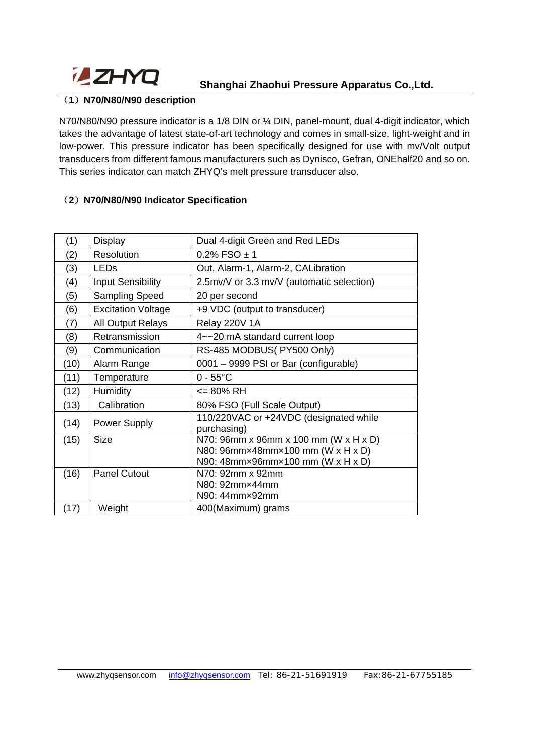

## **Shanghai Zhaohui Pressure Apparatus Co.,Ltd.**

#### (**1**)**N70/N80/N90 description**

N70/N80/N90 pressure indicator is a 1/8 DIN or ¼ DIN, panel-mount, dual 4-digit indicator, which takes the advantage of latest state-of-art technology and comes in small-size, light-weight and in low-power. This pressure indicator has been specifically designed for use with mv/Volt output transducers from different famous manufacturers such as Dynisco, Gefran, ONEhalf20 and so on. This series indicator can match ZHYQ's melt pressure transducer also.

### (**2**)**N70/N80/N90 Indicator Specification**

| (1)  | Display                                                               | Dual 4-digit Green and Red LEDs           |  |  |
|------|-----------------------------------------------------------------------|-------------------------------------------|--|--|
| (2)  | <b>Resolution</b>                                                     | $0.2\%$ FSO $\pm$ 1                       |  |  |
| (3)  | <b>LEDs</b>                                                           | Out, Alarm-1, Alarm-2, CALibration        |  |  |
| (4)  | <b>Input Sensibility</b>                                              | 2.5mv/V or 3.3 mv/V (automatic selection) |  |  |
| (5)  | Sampling Speed                                                        | 20 per second                             |  |  |
| (6)  | <b>Excitation Voltage</b>                                             | +9 VDC (output to transducer)             |  |  |
| (7)  | <b>All Output Relays</b>                                              | Relay 220V 1A                             |  |  |
| (8)  | Retransmission                                                        | 4~~20 mA standard current loop            |  |  |
| (9)  | Communication                                                         | RS-485 MODBUS(PY500 Only)                 |  |  |
| (10) | Alarm Range                                                           | 0001 - 9999 PSI or Bar (configurable)     |  |  |
| (11) | Temperature                                                           | $0 - 55^{\circ}$ C                        |  |  |
| (12) | Humidity                                                              | <= 80% RH                                 |  |  |
| (13) | Calibration                                                           | 80% FSO (Full Scale Output)               |  |  |
| (14) | 110/220VAC or +24VDC (designated while<br>Power Supply<br>purchasing) |                                           |  |  |
| (15) | N70: 96mm x 96mm x 100 mm (W x H x D)<br><b>Size</b>                  |                                           |  |  |
|      |                                                                       | N80: 96mm×48mm×100 mm (W x H x D)         |  |  |
|      |                                                                       | N90: 48mm×96mm×100 mm (W x H x D)         |  |  |
| (16) | <b>Panel Cutout</b>                                                   | N70: 92mm x 92mm                          |  |  |
|      |                                                                       | N80: 92mm×44mm                            |  |  |
|      |                                                                       | N90: 44mm×92mm                            |  |  |
| (17) | Weight                                                                | 400(Maximum) grams                        |  |  |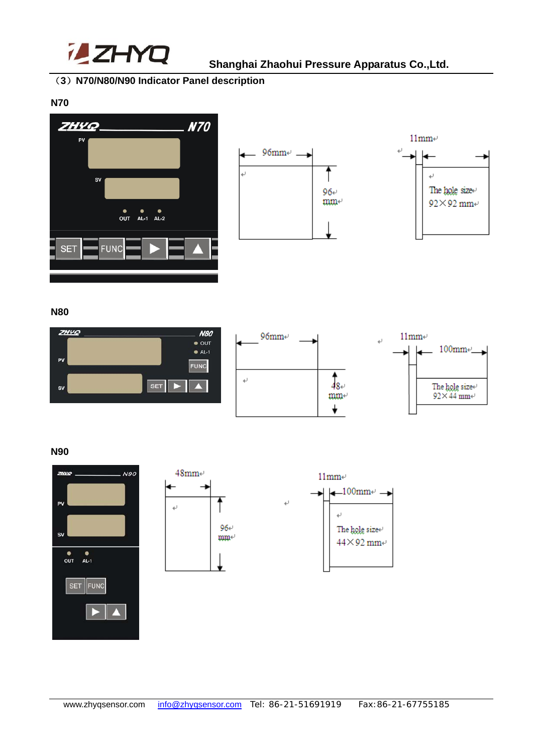

## (**3**)**N70/N80/N90 Indicator Panel description**

**N70** 







**N80** 



#### **N90**





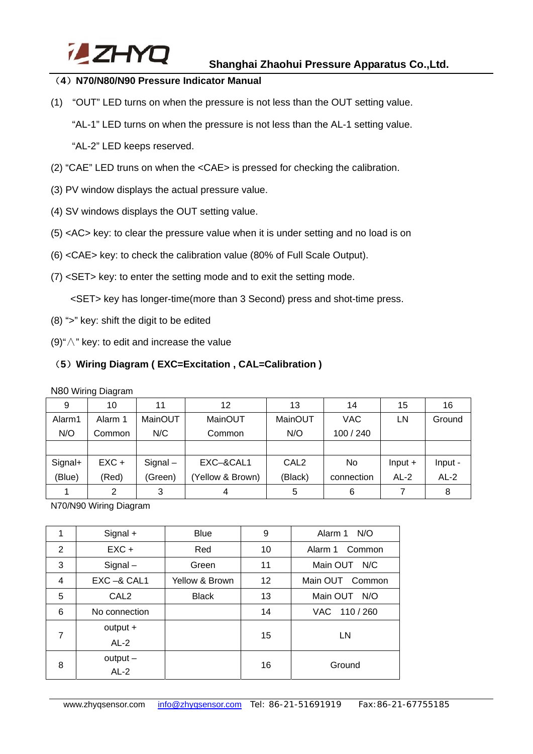

### (**4**)**N70/N80/N90 Pressure Indicator Manual**

(1) "OUT" LED turns on when the pressure is not less than the OUT setting value.

"AL-1" LED turns on when the pressure is not less than the AL-1 setting value.

"AL-2" LED keeps reserved.

- (2) "CAE" LED truns on when the <CAE> is pressed for checking the calibration.
- (3) PV window displays the actual pressure value.
- (4) SV windows displays the OUT setting value.
- (5) <AC> key: to clear the pressure value when it is under setting and no load is on
- (6) <CAE> key: to check the calibration value (80% of Full Scale Output).
- (7) <SET> key: to enter the setting mode and to exit the setting mode.

<SET> key has longer-time(more than 3 Second) press and shot-time press.

- (8) ">" key: shift the digit to be edited
- (9)"∧" key: to edit and increase the value

## (**5**)**Wiring Diagram ( EXC=Excitation , CAL=Calibration )**

N80 Wiring Diagram

| 9       | 10      | 11         | 12               | 13               | 14         | 15        | 16      |
|---------|---------|------------|------------------|------------------|------------|-----------|---------|
| Alarm1  | Alarm 1 | MainOUT    | MainOUT          | MainOUT          | VAC        | LN        | Ground  |
| N/O     | Common  | N/C        | Common           | N/O              | 100 / 240  |           |         |
|         |         |            |                  |                  |            |           |         |
| Signal+ | $EXC +$ | $Signal -$ | EXC-&CAL1        | CAL <sub>2</sub> | No.        | $Input +$ | Input - |
| (Blue)  | (Red)   | (Green)    | (Yellow & Brown) | (Black)          | connection | $AL-2$    | $AL-2$  |
|         |         | 3          |                  | 5                | 6          |           | 8       |

N70/N90 Wiring Diagram

| 1              | Signal +         | <b>Blue</b>    | 9  | Alarm 1 N/O     |  |
|----------------|------------------|----------------|----|-----------------|--|
| 2              | $EXC +$          | Red            | 10 | Alarm 1 Common  |  |
| 3              | $Signal -$       | Green          | 11 | Main OUT N/C    |  |
| 4              | $EXC - & CAL1$   | Yellow & Brown | 12 | Main OUT Common |  |
| 5              | CAL <sub>2</sub> | <b>Black</b>   | 13 | Main OUT N/O    |  |
| 6              | No connection    |                | 14 | VAC 110/260     |  |
| $\overline{7}$ | $output +$       |                | 15 | LN              |  |
|                | $AL-2$           |                |    |                 |  |
| 8              | $output -$       |                | 16 | Ground          |  |
|                | $AL-2$           |                |    |                 |  |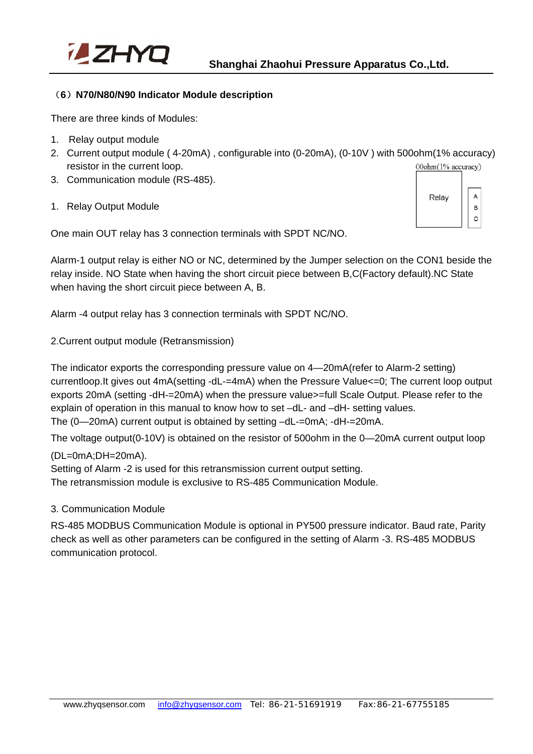

#### (**6**)**N70/N80/N90 Indicator Module description**

There are three kinds of Modules:

- 1. Relay output module
- 2. Current output module ( 4-20mA) , configurable into (0-20mA), (0-10V ) with 500ohm(1% accuracy) resistor in the current loop. 00ohm(1% accuracy)
- 3. Communication module (RS-485).
- 1. Relay Output Module

A Relav  $\overline{B}$  $\mathbf C$ 

One main OUT relay has 3 connection terminals with SPDT NC/NO.

Alarm-1 output relay is either NO or NC, determined by the Jumper selection on the CON1 beside the relay inside. NO State when having the short circuit piece between B,C(Factory default).NC State when having the short circuit piece between A, B.

Alarm -4 output relay has 3 connection terminals with SPDT NC/NO.

2.Current output module (Retransmission)

The indicator exports the corresponding pressure value on 4—20mA(refer to Alarm-2 setting) currentloop.It gives out 4mA(setting -dL-=4mA) when the Pressure Value<=0; The current loop output exports 20mA (setting -dH-=20mA) when the pressure value>=full Scale Output. Please refer to the explain of operation in this manual to know how to set –dL- and –dH- setting values. The (0—20mA) current output is obtained by setting –dL-=0mA; -dH-=20mA.

The voltage output(0-10V) is obtained on the resistor of 500ohm in the 0—20mA current output loop

(DL=0mA;DH=20mA).

Setting of Alarm -2 is used for this retransmission current output setting.

The retransmission module is exclusive to RS-485 Communication Module.

#### 3. Communication Module

RS-485 MODBUS Communication Module is optional in PY500 pressure indicator. Baud rate, Parity check as well as other parameters can be configured in the setting of Alarm -3. RS-485 MODBUS communication protocol.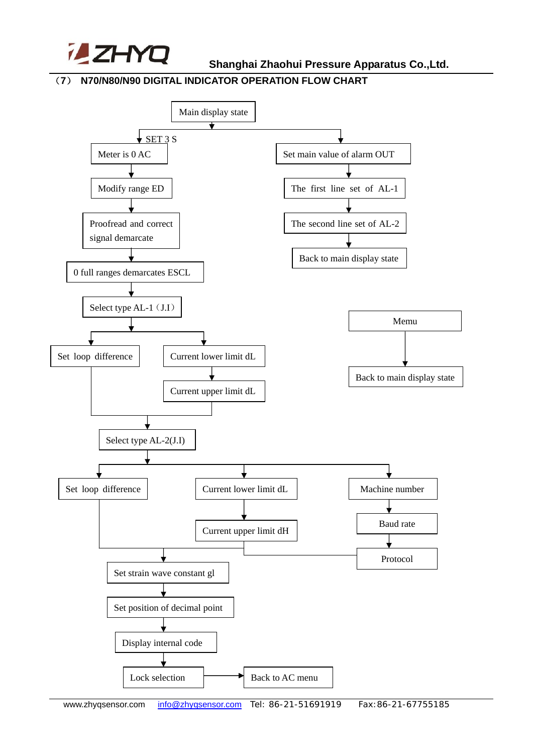

 **Shanghai Zhaohui Pressure Apparatus Co.,Ltd.**

### (**7**) **N70/N80/N90 DIGITAL INDICATOR OPERATION FLOW CHART**

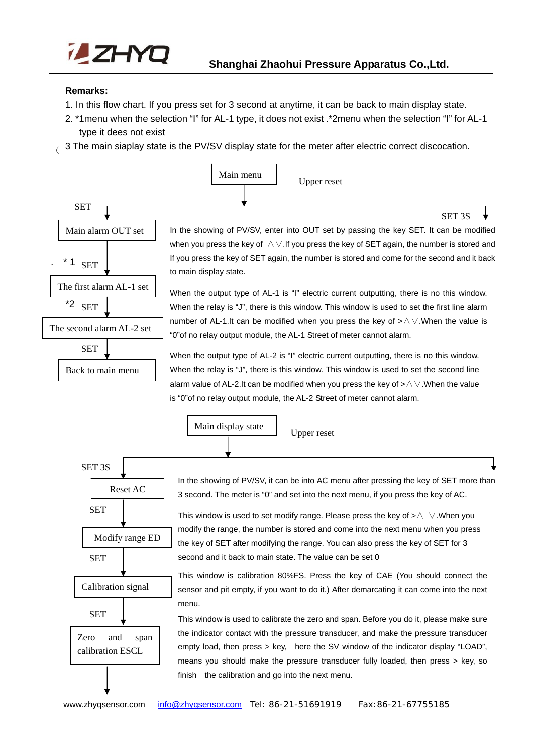![](_page_5_Picture_0.jpeg)

#### **Remarks:**

j

- 1. In this flow chart. If you press set for 3 second at anytime, it can be back to main display state.
- 2. \*1menu when the selection "I" for AL-1 type, it does not exist .\*2menu when the selection "I" for AL-1 type it dees not exist
- $\frac{1}{3}$  The main siaplay state is the PV/SV display state for the meter after electric correct discocation.

![](_page_5_Figure_6.jpeg)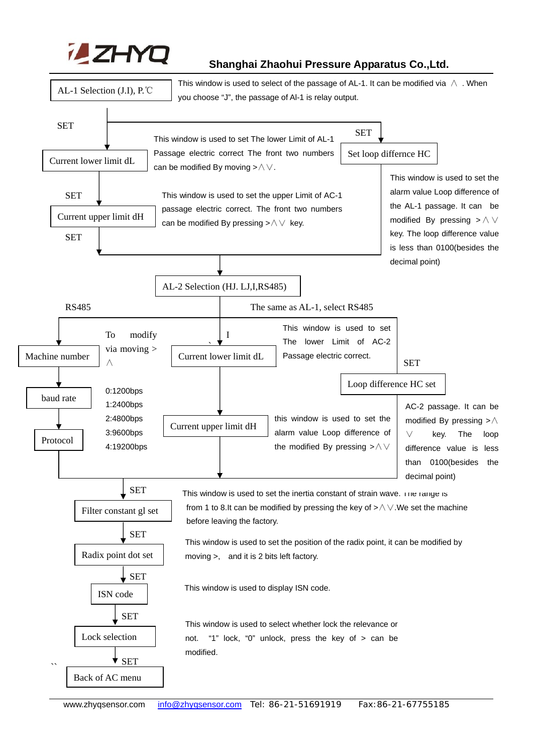![](_page_6_Picture_0.jpeg)

## **Shanghai Zhaohui Pressure Apparatus Co.,Ltd.**

![](_page_6_Figure_2.jpeg)